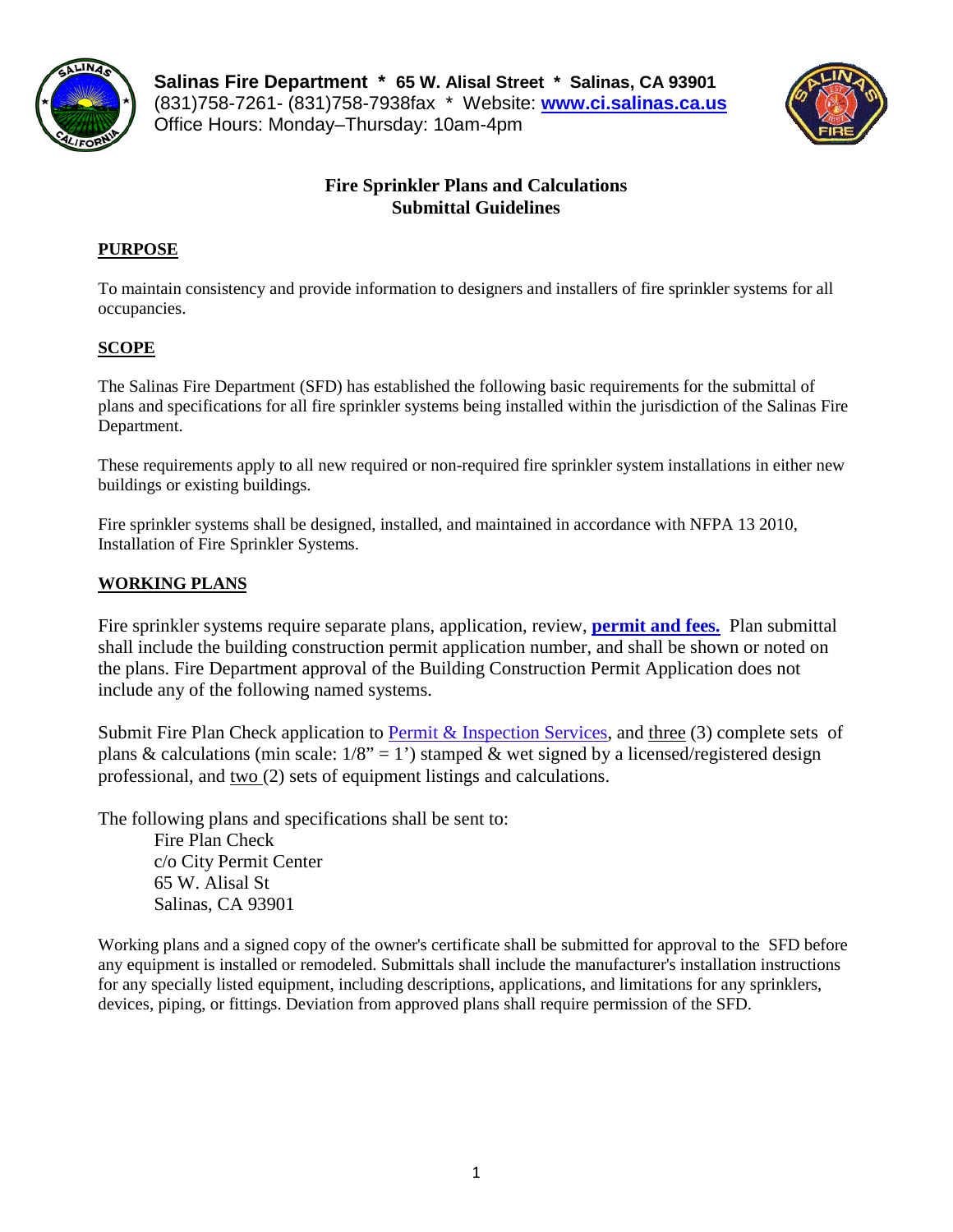

**Salinas Fire Department \* 65 W. Alisal Street \* Salinas, CA 93901** (831)758-7261- (831)758-7938fax \* Website: **[www.ci.salinas.ca.us](http://www.ci.salinas.ca.us/index.cfm)** Office Hours: Monday–Thursday: 10am-4pm



## **Fire Sprinkler Plans and Calculations Submittal Guidelines**

## **PURPOSE**

To maintain consistency and provide information to designers and installers of fire sprinkler systems for all occupancies.

## **SCOPE**

The Salinas Fire Department (SFD) has established the following basic requirements for the submittal of plans and specifications for all fire sprinkler systems being installed within the jurisdiction of the Salinas Fire Department.

These requirements apply to all new required or non-required fire sprinkler system installations in either new buildings or existing buildings.

Fire sprinkler systems shall be designed, installed, and maintained in accordance with NFPA 13 2010, Installation of Fire Sprinkler Systems.

## **WORKING PLANS**

Fire sprinkler systems require separate plans, application, review, **permit and fees.** Plan submittal shall include the building construction permit application number, and shall be shown or noted on the plans. Fire Department approval of the Building Construction Permit Application does not include any of the following named systems.

Submit Fire Plan Check application to [Permit & Inspection Services,](http://www.ci.salinas.ca.us/services/engineering/planning/permit_forms.cfm) and three (3) complete sets of plans & calculations (min scale:  $1/8$ " = 1') stamped & wet signed by a licensed/registered design professional, and two (2) sets of equipment listings and calculations.

The following plans and specifications shall be sent to:

Fire Plan Check c/o City Permit Center 65 W. Alisal St Salinas, CA 93901

Working plans and a signed copy of the owner's certificate shall be submitted for approval to the SFD before any equipment is installed or remodeled. Submittals shall include the manufacturer's installation instructions for any specially listed equipment, including descriptions, applications, and limitations for any sprinklers, devices, piping, or fittings. Deviation from approved plans shall require permission of the SFD.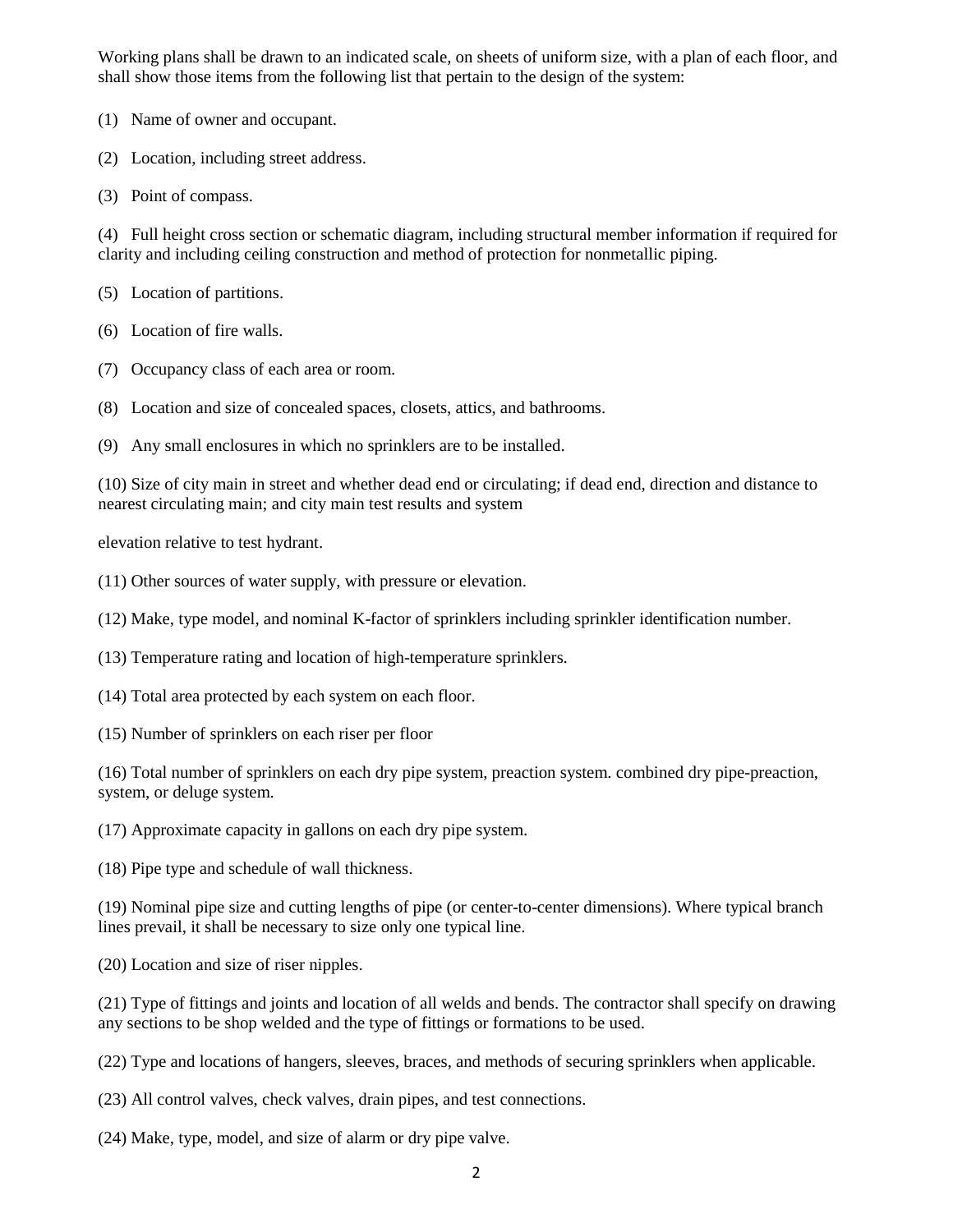Working plans shall be drawn to an indicated scale, on sheets of uniform size, with a plan of each floor, and shall show those items from the following list that pertain to the design of the system:

(1) Name of owner and occupant.

(2) Location, including street address.

(3) Point of compass.

(4) Full height cross section or schematic diagram, including structural member information if required for clarity and including ceiling construction and method of protection for nonmetallic piping.

(5) Location of partitions.

(6) Location of fire walls.

(7) Occupancy class of each area or room.

(8) Location and size of concealed spaces, closets, attics, and bathrooms.

(9) Any small enclosures in which no sprinklers are to be installed.

(10) Size of city main in street and whether dead end or circulating; if dead end, direction and distance to nearest circulating main; and city main test results and system

elevation relative to test hydrant.

(11) Other sources of water supply, with pressure or elevation.

(12) Make, type model, and nominal K-factor of sprinklers including sprinkler identification number.

(13) Temperature rating and location of high-temperature sprinklers.

(14) Total area protected by each system on each floor.

(15) Number of sprinklers on each riser per floor

(16) Total number of sprinklers on each dry pipe system, preaction system. combined dry pipe-preaction, system, or deluge system.

(17) Approximate capacity in gallons on each dry pipe system.

(18) Pipe type and schedule of wall thickness.

(19) Nominal pipe size and cutting lengths of pipe (or center-to-center dimensions). Where typical branch lines prevail, it shall be necessary to size only one typical line.

(20) Location and size of riser nipples.

(21) Type of fittings and joints and location of all welds and bends. The contractor shall specify on drawing any sections to be shop welded and the type of fittings or formations to be used.

(22) Type and locations of hangers, sleeves, braces, and methods of securing sprinklers when applicable.

(23) All control valves, check valves, drain pipes, and test connections.

(24) Make, type, model, and size of alarm or dry pipe valve.